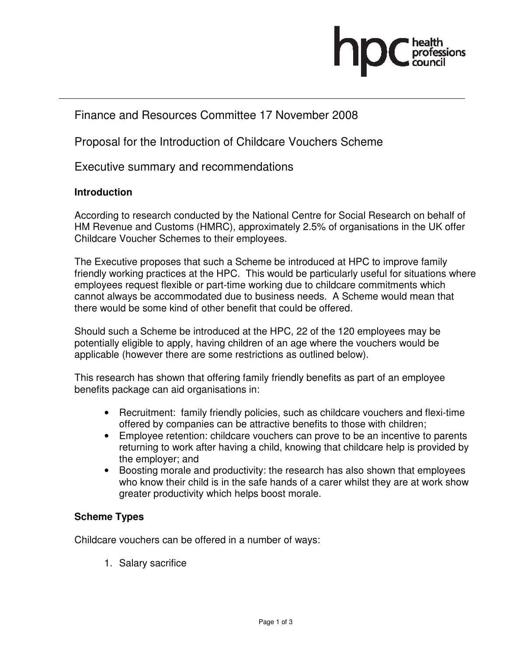

# Finance and Resources Committee 17 November 2008

Proposal for the Introduction of Childcare Vouchers Scheme

Executive summary and recommendations

#### **Introduction**

According to research conducted by the National Centre for Social Research on behalf of HM Revenue and Customs (HMRC), approximately 2.5% of organisations in the UK offer Childcare Voucher Schemes to their employees.

The Executive proposes that such a Scheme be introduced at HPC to improve family friendly working practices at the HPC. This would be particularly useful for situations where employees request flexible or part-time working due to childcare commitments which cannot always be accommodated due to business needs. A Scheme would mean that there would be some kind of other benefit that could be offered.

Should such a Scheme be introduced at the HPC, 22 of the 120 employees may be potentially eligible to apply, having children of an age where the vouchers would be applicable (however there are some restrictions as outlined below).

This research has shown that offering family friendly benefits as part of an employee benefits package can aid organisations in:

- Recruitment: family friendly policies, such as childcare vouchers and flexi-time offered by companies can be attractive benefits to those with children;
- Employee retention: childcare vouchers can prove to be an incentive to parents returning to work after having a child, knowing that childcare help is provided by the employer; and
- Boosting morale and productivity: the research has also shown that employees who know their child is in the safe hands of a carer whilst they are at work show greater productivity which helps boost morale.

## **Scheme Types**

Childcare vouchers can be offered in a number of ways:

1. Salary sacrifice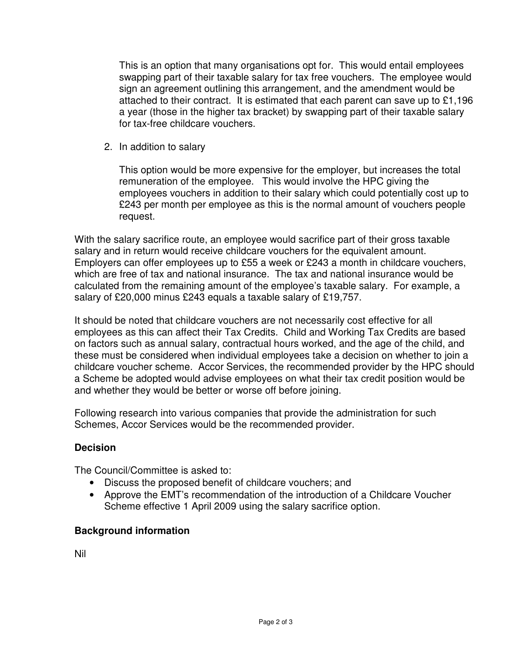This is an option that many organisations opt for. This would entail employees swapping part of their taxable salary for tax free vouchers. The employee would sign an agreement outlining this arrangement, and the amendment would be attached to their contract. It is estimated that each parent can save up to £1,196 a year (those in the higher tax bracket) by swapping part of their taxable salary for tax-free childcare vouchers.

2. In addition to salary

This option would be more expensive for the employer, but increases the total remuneration of the employee. This would involve the HPC giving the employees vouchers in addition to their salary which could potentially cost up to £243 per month per employee as this is the normal amount of vouchers people request.

With the salary sacrifice route, an employee would sacrifice part of their gross taxable salary and in return would receive childcare vouchers for the equivalent amount. Employers can offer employees up to £55 a week or £243 a month in childcare vouchers, which are free of tax and national insurance. The tax and national insurance would be calculated from the remaining amount of the employee's taxable salary. For example, a salary of £20,000 minus £243 equals a taxable salary of £19,757.

It should be noted that childcare vouchers are not necessarily cost effective for all employees as this can affect their Tax Credits. Child and Working Tax Credits are based on factors such as annual salary, contractual hours worked, and the age of the child, and these must be considered when individual employees take a decision on whether to join a childcare voucher scheme. Accor Services, the recommended provider by the HPC should a Scheme be adopted would advise employees on what their tax credit position would be and whether they would be better or worse off before joining.

Following research into various companies that provide the administration for such Schemes, Accor Services would be the recommended provider.

## **Decision**

The Council/Committee is asked to:

- Discuss the proposed benefit of childcare vouchers; and
- Approve the EMT's recommendation of the introduction of a Childcare Voucher Scheme effective 1 April 2009 using the salary sacrifice option.

## **Background information**

Nil